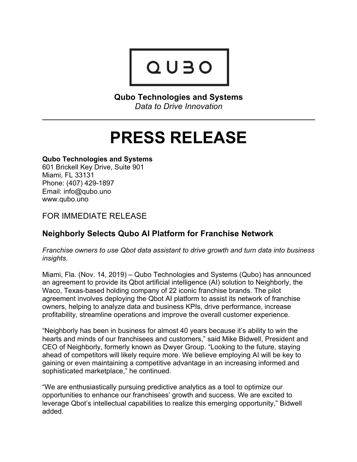

**Qubo Technologies and Systems** *Data to Drive Innovation*

# **PRESS RELEASE**

## **Qubo Technologies and Systems**

601 Brickell Key Drive, Suite 901 Miami, FL 33131 Phone: (407) 429-1897 Email: info@qubo.uno www.qubo.uno

FOR IMMEDIATE RELEASE

## **Neighborly Selects Qubo AI Platform for Franchise Network**

*Franchise owners to use Qbot data assistant to drive growth and turn data into business insights.*

Miami, Fla. (Nov. 14, 2019) – Qubo Technologies and Systems (Qubo) has announced an agreement to provide its Qbot artificial intelligence (AI) solution to Neighborly, the Waco, Texas-based holding company of 22 iconic franchise brands. The pilot agreement involves deploying the Qbot AI platform to assist its network of franchise owners, helping to analyze data and business KPIs, drive performance, increase profitability, streamline operations and improve the overall customer experience.

"Neighborly has been in business for almost 40 years because it's ability to win the hearts and minds of our franchisees and customers," said Mike Bidwell, President and CEO of Neighborly, formerly known as Dwyer Group. "Looking to the future, staying ahead of competitors will likely require more. We believe employing AI will be key to gaining or even maintaining a competitive advantage in an increasing informed and sophisticated marketplace," he continued.

"We are enthusiastically pursuing predictive analytics as a tool to optimize our opportunities to enhance our franchisees' growth and success. We are excited to leverage Qbot's intellectual capabilities to realize this emerging opportunity," Bidwell added.